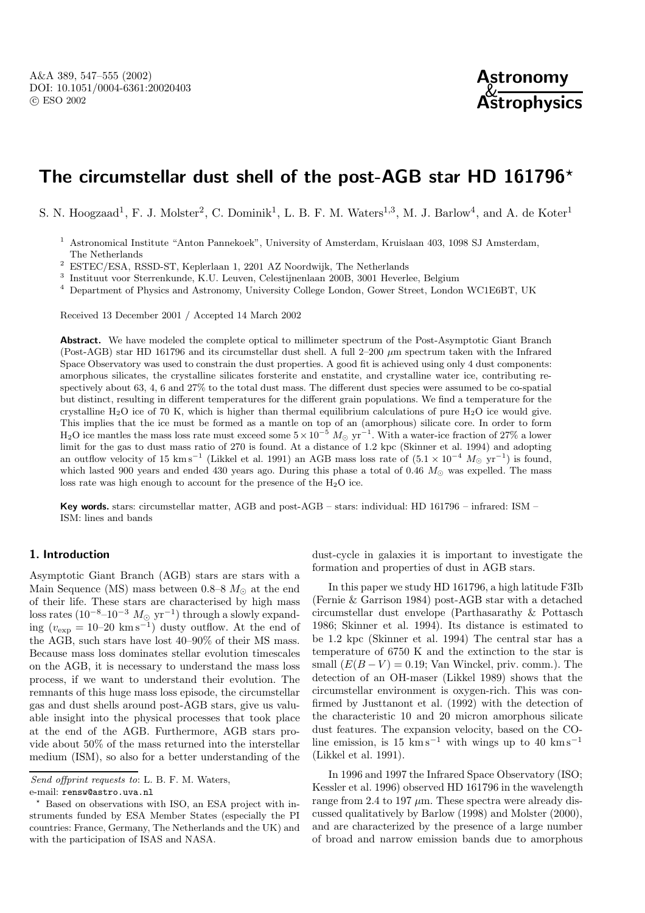

# **The circumstellar dust shell of the post-AGB star HD 161796***?*

S. N. Hoogzaad<sup>1</sup>, F. J. Molster<sup>2</sup>, C. Dominik<sup>1</sup>, L. B. F. M. Waters<sup>1,3</sup>, M. J. Barlow<sup>4</sup>, and A. de Koter<sup>1</sup>

- <sup>1</sup> Astronomical Institute "Anton Pannekoek", University of Amsterdam, Kruislaan 403, 1098 SJ Amsterdam, The Netherlands
- <sup>2</sup> ESTEC/ESA, RSSD-ST, Keplerlaan 1, 2201 AZ Noordwijk, The Netherlands
- $^3\,$ Instituut voor Sterrenkunde, K.U. Leuven, Celestijnenlaan 200B, 3001 Heverlee, Belgium

<sup>4</sup> Department of Physics and Astronomy, University College London, Gower Street, London WC1E6BT, UK

Received 13 December 2001 / Accepted 14 March 2002

**Abstract.** We have modeled the complete optical to millimeter spectrum of the Post-Asymptotic Giant Branch (Post-AGB) star HD 161796 and its circumstellar dust shell. A full 2–200  $\mu$ m spectrum taken with the Infrared Space Observatory was used to constrain the dust properties. A good fit is achieved using only 4 dust components: amorphous silicates, the crystalline silicates forsterite and enstatite, and crystalline water ice, contributing respectively about 63, 4, 6 and 27% to the total dust mass. The different dust species were assumed to be co-spatial but distinct, resulting in different temperatures for the different grain populations. We find a temperature for the crystalline  $H_2O$  ice of 70 K, which is higher than thermal equilibrium calculations of pure  $H_2O$  ice would give. This implies that the ice must be formed as a mantle on top of an (amorphous) silicate core. In order to form H<sub>2</sub>O ice mantles the mass loss rate must exceed some  $5 \times 10^{-5}$  M<sub>☉</sub> yr<sup>-1</sup>. With a water-ice fraction of 27% a lower limit for the gas to dust mass ratio of 270 is found. At a distance of 1.2 kpc (Skinner et al. 1994) and adopting an outflow velocity of 15 km s<sup>-1</sup> (Likkel et al. 1991) an AGB mass loss rate of  $(5.1 \times 10^{-4} M_{\odot} \text{ yr}^{-1})$  is found, which lasted 900 years and ended 430 years ago. During this phase a total of 0.46  $M_{\odot}$  was expelled. The mass loss rate was high enough to account for the presence of the  $H_2O$  ice.

**Key words.** stars: circumstellar matter, AGB and post-AGB – stars: individual: HD 161796 – infrared: ISM – ISM: lines and bands

## **1. Introduction**

Asymptotic Giant Branch (AGB) stars are stars with a Main Sequence (MS) mass between  $0.8-8$   $M_{\odot}$  at the end of their life. These stars are characterised by high mass  $\text{loss rates}~ (10^{-8} \text{--} 10^{-3}~M_{\odot}~\text{yr}^{-1}) \text{ through a slowly expand}$ ing  $(v_{\exp} = 10-20 \text{ km s}^{-1})$  dusty outflow. At the end of the AGB, such stars have lost 40–90% of their MS mass. Because mass loss dominates stellar evolution timescales on the AGB, it is necessary to understand the mass loss process, if we want to understand their evolution. The remnants of this huge mass loss episode, the circumstellar gas and dust shells around post-AGB stars, give us valuable insight into the physical processes that took place at the end of the AGB. Furthermore, AGB stars provide about 50% of the mass returned into the interstellar medium (ISM), so also for a better understanding of the

dust-cycle in galaxies it is important to investigate the formation and properties of dust in AGB stars.

In this paper we study HD 161796, a high latitude F3Ib (Fernie & Garrison 1984) post-AGB star with a detached circumstellar dust envelope (Parthasarathy & Pottasch 1986; Skinner et al. 1994). Its distance is estimated to be 1.2 kpc (Skinner et al. 1994) The central star has a temperature of 6750 K and the extinction to the star is small  $(E(B - V) = 0.19$ ; Van Winckel, priv. comm.). The detection of an OH-maser (Likkel 1989) shows that the circumstellar environment is oxygen-rich. This was confirmed by Justtanont et al. (1992) with the detection of the characteristic 10 and 20 micron amorphous silicate dust features. The expansion velocity, based on the COline emission, is 15 km s<sup>−1</sup> with wings up to 40 km s<sup>−1</sup> (Likkel et al. 1991).

In 1996 and 1997 the Infrared Space Observatory (ISO; Kessler et al. 1996) observed HD 161796 in the wavelength range from 2.4 to 197  $\mu$ m. These spectra were already discussed qualitatively by Barlow (1998) and Molster (2000), and are characterized by the presence of a large number of broad and narrow emission bands due to amorphous

Send offprint requests to: L. B. F. M. Waters,

e-mail: rensw@astro.uva.nl

<sup>?</sup> Based on observations with ISO, an ESA project with instruments funded by ESA Member States (especially the PI countries: France, Germany, The Netherlands and the UK) and with the participation of ISAS and NASA.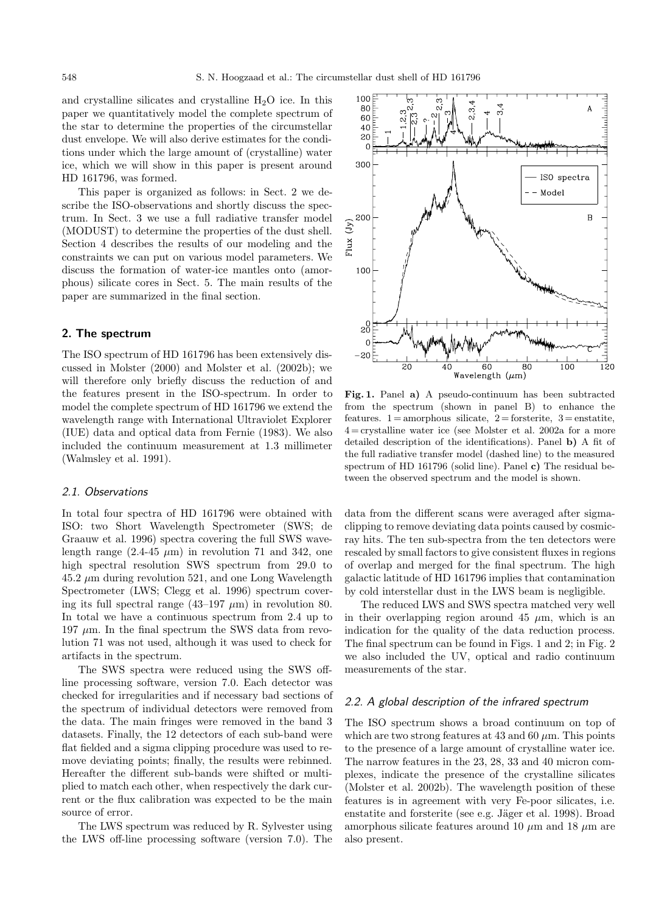and crystalline silicates and crystalline  $H_2O$  ice. In this paper we quantitatively model the complete spectrum of the star to determine the properties of the circumstellar dust envelope. We will also derive estimates for the conditions under which the large amount of (crystalline) water ice, which we will show in this paper is present around HD 161796, was formed.

This paper is organized as follows: in Sect. 2 we describe the ISO-observations and shortly discuss the spectrum. In Sect. 3 we use a full radiative transfer model (MODUST) to determine the properties of the dust shell. Section 4 describes the results of our modeling and the constraints we can put on various model parameters. We discuss the formation of water-ice mantles onto (amorphous) silicate cores in Sect. 5. The main results of the paper are summarized in the final section.

## **2. The spectrum**

The ISO spectrum of HD 161796 has been extensively discussed in Molster (2000) and Molster et al. (2002b); we will therefore only briefly discuss the reduction of and the features present in the ISO-spectrum. In order to model the complete spectrum of HD 161796 we extend the wavelength range with International Ultraviolet Explorer (IUE) data and optical data from Fernie (1983). We also included the continuum measurement at 1.3 millimeter (Walmsley et al. 1991).

#### 2.1. Observations

In total four spectra of HD 161796 were obtained with ISO: two Short Wavelength Spectrometer (SWS; de Graauw et al. 1996) spectra covering the full SWS wavelength range  $(2.4-45 \mu m)$  in revolution 71 and 342, one high spectral resolution SWS spectrum from 29.0 to  $45.2 \mu m$  during revolution  $521$ , and one Long Wavelength Spectrometer (LWS; Clegg et al. 1996) spectrum covering its full spectral range  $(43-197 \mu m)$  in revolution 80. In total we have a continuous spectrum from 2.4 up to 197  $\mu$ m. In the final spectrum the SWS data from revolution 71 was not used, although it was used to check for artifacts in the spectrum.

The SWS spectra were reduced using the SWS offline processing software, version 7.0. Each detector was checked for irregularities and if necessary bad sections of the spectrum of individual detectors were removed from the data. The main fringes were removed in the band 3 datasets. Finally, the 12 detectors of each sub-band were flat fielded and a sigma clipping procedure was used to remove deviating points; finally, the results were rebinned. Hereafter the different sub-bands were shifted or multiplied to match each other, when respectively the dark current or the flux calibration was expected to be the main source of error.

The LWS spectrum was reduced by R. Sylvester using the LWS off-line processing software (version 7.0). The



**Fig. 1.** Panel **a)** A pseudo-continuum has been subtracted from the spectrum (shown in panel B) to enhance the features.  $1 =$ amorphous silicate,  $2 =$ forsterite,  $3 =$ enstatite,  $4 =$ crystalline water ice (see Molster et al. 2002a for a more detailed description of the identifications). Panel **b)** A fit of the full radiative transfer model (dashed line) to the measured spectrum of HD 161796 (solid line). Panel **c)** The residual between the observed spectrum and the model is shown.

data from the different scans were averaged after sigmaclipping to remove deviating data points caused by cosmicray hits. The ten sub-spectra from the ten detectors were rescaled by small factors to give consistent fluxes in regions of overlap and merged for the final spectrum. The high galactic latitude of HD 161796 implies that contamination by cold interstellar dust in the LWS beam is negligible.

The reduced LWS and SWS spectra matched very well in their overlapping region around 45  $\mu$ m, which is an indication for the quality of the data reduction process. The final spectrum can be found in Figs. 1 and 2; in Fig. 2 we also included the UV, optical and radio continuum measurements of the star.

## 2.2. A global description of the infrared spectrum

The ISO spectrum shows a broad continuum on top of which are two strong features at 43 and 60  $\mu$ m. This points to the presence of a large amount of crystalline water ice. The narrow features in the 23, 28, 33 and 40 micron complexes, indicate the presence of the crystalline silicates (Molster et al. 2002b). The wavelength position of these features is in agreement with very Fe-poor silicates, i.e. enstatite and forsterite (see e.g. Jäger et al. 1998). Broad amorphous silicate features around 10  $\mu$ m and 18  $\mu$ m are also present.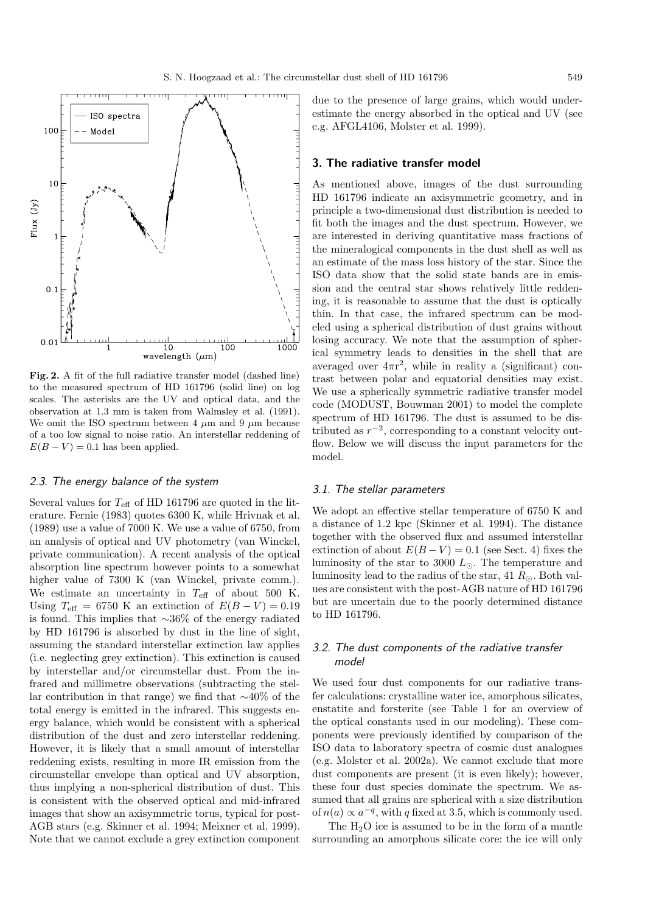

**Fig. 2.** A fit of the full radiative transfer model (dashed line) to the measured spectrum of HD 161796 (solid line) on log scales. The asterisks are the UV and optical data, and the observation at 1.3 mm is taken from Walmsley et al. (1991). We omit the ISO spectrum between 4  $\mu$ m and 9  $\mu$ m because of a too low signal to noise ratio. An interstellar reddening of  $E(B - V) = 0.1$  has been applied.

## 2.3. The energy balance of the system

Several values for  $T_{\text{eff}}$  of HD 161796 are quoted in the literature. Fernie (1983) quotes 6300 K, while Hrivnak et al. (1989) use a value of 7000 K. We use a value of 6750, from an analysis of optical and UV photometry (van Winckel, private communication). A recent analysis of the optical absorption line spectrum however points to a somewhat higher value of 7300 K (van Winckel, private comm.). We estimate an uncertainty in  $T_{\text{eff}}$  of about 500 K. Using  $T_{\text{eff}} = 6750 \text{ K}$  an extinction of  $E(B-V) = 0.19$ is found. This implies that ∼36% of the energy radiated by HD 161796 is absorbed by dust in the line of sight, assuming the standard interstellar extinction law applies (i.e. neglecting grey extinction). This extinction is caused by interstellar and/or circumstellar dust. From the infrared and millimetre observations (subtracting the stellar contribution in that range) we find that ∼40% of the total energy is emitted in the infrared. This suggests energy balance, which would be consistent with a spherical distribution of the dust and zero interstellar reddening. However, it is likely that a small amount of interstellar reddening exists, resulting in more IR emission from the circumstellar envelope than optical and UV absorption, thus implying a non-spherical distribution of dust. This is consistent with the observed optical and mid-infrared images that show an axisymmetric torus, typical for post-AGB stars (e.g. Skinner et al. 1994; Meixner et al. 1999). Note that we cannot exclude a grey extinction component due to the presence of large grains, which would underestimate the energy absorbed in the optical and UV (see e.g. AFGL4106, Molster et al. 1999).

## **3. The radiative transfer model**

As mentioned above, images of the dust surrounding HD 161796 indicate an axisymmetric geometry, and in principle a two-dimensional dust distribution is needed to fit both the images and the dust spectrum. However, we are interested in deriving quantitative mass fractions of the mineralogical components in the dust shell as well as an estimate of the mass loss history of the star. Since the ISO data show that the solid state bands are in emission and the central star shows relatively little reddening, it is reasonable to assume that the dust is optically thin. In that case, the infrared spectrum can be modeled using a spherical distribution of dust grains without losing accuracy. We note that the assumption of spherical symmetry leads to densities in the shell that are averaged over  $4\pi r^2$ , while in reality a (significant) contrast between polar and equatorial densities may exist. We use a spherically symmetric radiative transfer model code (MODUST, Bouwman 2001) to model the complete spectrum of HD 161796. The dust is assumed to be distributed as  $r^{-2}$ , corresponding to a constant velocity outflow. Below we will discuss the input parameters for the model.

## 3.1. The stellar parameters

We adopt an effective stellar temperature of 6750 K and a distance of 1.2 kpc (Skinner et al. 1994). The distance together with the observed flux and assumed interstellar extinction of about  $E(B-V) = 0.1$  (see Sect. 4) fixes the luminosity of the star to 3000  $L_{\odot}$ . The temperature and luminosity lead to the radius of the star, 41  $R_{\odot}$ . Both values are consistent with the post-AGB nature of HD 161796 but are uncertain due to the poorly determined distance to HD 161796.

## 3.2. The dust components of the radiative transfer model

We used four dust components for our radiative transfer calculations: crystalline water ice, amorphous silicates, enstatite and forsterite (see Table 1 for an overview of the optical constants used in our modeling). These components were previously identified by comparison of the ISO data to laboratory spectra of cosmic dust analogues (e.g. Molster et al. 2002a). We cannot exclude that more dust components are present (it is even likely); however, these four dust species dominate the spectrum. We assumed that all grains are spherical with a size distribution of  $n(a) \propto a^{-q}$ , with q fixed at 3.5, which is commonly used.

The  $H_2O$  ice is assumed to be in the form of a mantle surrounding an amorphous silicate core: the ice will only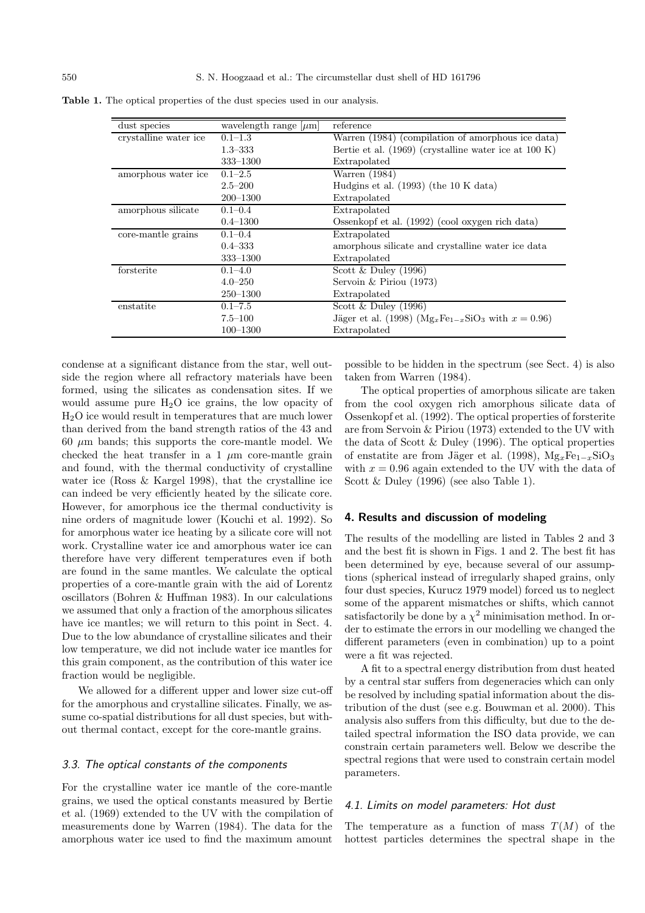| dust species          | wavelength range $ \mu m $ | reference                                                 |
|-----------------------|----------------------------|-----------------------------------------------------------|
| crystalline water ice | $0.1 - 1.3$                | Warren (1984) (compilation of amorphous ice data)         |
|                       | $1.3 - 333$                | Bertie et al. $(1969)$ (crystalline water ice at 100 K)   |
|                       | 333-1300                   | Extrapolated                                              |
| amorphous water ice.  | $0.1 - 2.5$                | Warren (1984)                                             |
|                       | $2.5 - 200$                | Hudgins et al. $(1993)$ (the 10 K data)                   |
|                       | $200 - 1300$               | Extrapolated                                              |
| amorphous silicate    | $0.1 - 0.4$                | Extrapolated                                              |
|                       | $0.4 - 1300$               | Ossenkopf et al. (1992) (cool oxygen rich data)           |
| core-mantle grains    | $0.1 - 0.4$                | Extrapolated                                              |
|                       | $0.4 - 333$                | amorphous silicate and crystalline water ice data         |
|                       | $333 - 1300$               | Extrapolated                                              |
| forsterite            | $0.1 - 4.0$                | Scott $&$ Duley (1996)                                    |
|                       | $4.0 - 250$                | Servoin & Piriou $(1973)$                                 |
|                       | $250 - 1300$               | Extrapolated                                              |
| enstatite             | $0.1 - 7.5$                | Scott & Duley $(1996)$                                    |
|                       | $7.5 - 100$                | Jäger et al. (1998) ( $Mg_xFe_{1-x}SiO_3$ with $x=0.96$ ) |
|                       | $100 - 1300$               | Extrapolated                                              |

Table 1. The optical properties of the dust species used in our analysis.

condense at a significant distance from the star, well outside the region where all refractory materials have been formed, using the silicates as condensation sites. If we would assume pure  $H_2O$  ice grains, the low opacity of H2O ice would result in temperatures that are much lower than derived from the band strength ratios of the 43 and 60  $\mu$ m bands; this supports the core-mantle model. We checked the heat transfer in a 1  $\mu$ m core-mantle grain and found, with the thermal conductivity of crystalline water ice (Ross & Kargel 1998), that the crystalline ice can indeed be very efficiently heated by the silicate core. However, for amorphous ice the thermal conductivity is nine orders of magnitude lower (Kouchi et al. 1992). So for amorphous water ice heating by a silicate core will not work. Crystalline water ice and amorphous water ice can therefore have very different temperatures even if both are found in the same mantles. We calculate the optical properties of a core-mantle grain with the aid of Lorentz oscillators (Bohren & Huffman 1983). In our calculations we assumed that only a fraction of the amorphous silicates have ice mantles; we will return to this point in Sect. 4. Due to the low abundance of crystalline silicates and their low temperature, we did not include water ice mantles for this grain component, as the contribution of this water ice fraction would be negligible.

We allowed for a different upper and lower size cut-off for the amorphous and crystalline silicates. Finally, we assume co-spatial distributions for all dust species, but without thermal contact, except for the core-mantle grains.

## 3.3. The optical constants of the components

For the crystalline water ice mantle of the core-mantle grains, we used the optical constants measured by Bertie et al. (1969) extended to the UV with the compilation of measurements done by Warren (1984). The data for the amorphous water ice used to find the maximum amount possible to be hidden in the spectrum (see Sect. 4) is also taken from Warren (1984).

The optical properties of amorphous silicate are taken from the cool oxygen rich amorphous silicate data of Ossenkopf et al. (1992). The optical properties of forsterite are from Servoin & Piriou (1973) extended to the UV with the data of Scott & Duley (1996). The optical properties of enstatite are from Jäger et al. (1998),  $Mg_xFe_{1-x}SiO_3$ with  $x = 0.96$  again extended to the UV with the data of Scott & Duley (1996) (see also Table 1).

## **4. Results and discussion of modeling**

The results of the modelling are listed in Tables 2 and 3 and the best fit is shown in Figs. 1 and 2. The best fit has been determined by eye, because several of our assumptions (spherical instead of irregularly shaped grains, only four dust species, Kurucz 1979 model) forced us to neglect some of the apparent mismatches or shifts, which cannot satisfactorily be done by a  $\chi^2$  minimisation method. In order to estimate the errors in our modelling we changed the different parameters (even in combination) up to a point were a fit was rejected.

A fit to a spectral energy distribution from dust heated by a central star suffers from degeneracies which can only be resolved by including spatial information about the distribution of the dust (see e.g. Bouwman et al. 2000). This analysis also suffers from this difficulty, but due to the detailed spectral information the ISO data provide, we can constrain certain parameters well. Below we describe the spectral regions that were used to constrain certain model parameters.

#### 4.1. Limits on model parameters: Hot dust

The temperature as a function of mass  $T(M)$  of the hottest particles determines the spectral shape in the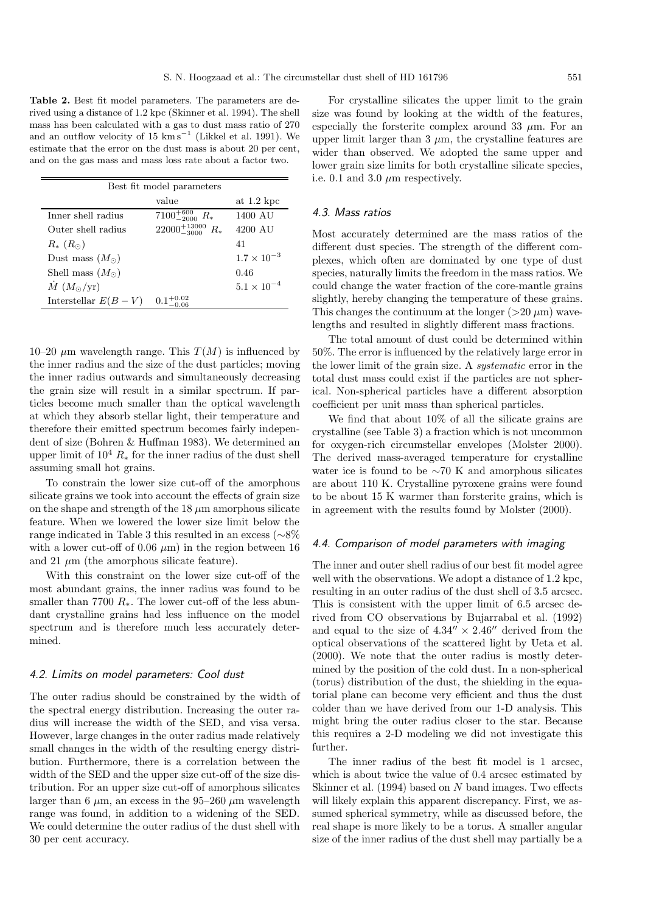**Table 2.** Best fit model parameters. The parameters are derived using a distance of 1.2 kpc (Skinner et al. 1994). The shell mass has been calculated with a gas to dust mass ratio of 270 and an outflow velocity of 15 km s<sup>-1</sup> (Likkel et al. 1991). We estimate that the error on the dust mass is about 20 per cent, and on the gas mass and mass loss rate about a factor two.

| Best fit model parameters  |                              |                       |  |  |  |  |
|----------------------------|------------------------------|-----------------------|--|--|--|--|
|                            | value                        | at $1.2~\mathrm{kpc}$ |  |  |  |  |
| Inner shell radius         | $7100^{+600}_{-2000} R_*$    | 1400 AU               |  |  |  |  |
| Outer shell radius         | $22000^{+13000}_{-3000} R_*$ | 4200 AU               |  |  |  |  |
| $R_{*}$ $(R_{\odot})$      |                              | 41                    |  |  |  |  |
| Dust mass $(M_{\odot})$    |                              | $1.7 \times 10^{-3}$  |  |  |  |  |
| Shell mass $(M_{\odot})$   |                              | 0.46                  |  |  |  |  |
| $\dot{M}$ $(M_{\odot}/yr)$ |                              | $5.1 \times 10^{-4}$  |  |  |  |  |
| Interstellar $E(B-V)$      |                              |                       |  |  |  |  |

10–20  $\mu$ m wavelength range. This  $T(M)$  is influenced by the inner radius and the size of the dust particles; moving the inner radius outwards and simultaneously decreasing the grain size will result in a similar spectrum. If particles become much smaller than the optical wavelength at which they absorb stellar light, their temperature and therefore their emitted spectrum becomes fairly independent of size (Bohren & Huffman 1983). We determined an upper limit of  $10^4 R_*$  for the inner radius of the dust shell assuming small hot grains.

To constrain the lower size cut-off of the amorphous silicate grains we took into account the effects of grain size on the shape and strength of the  $18 \mu m$  amorphous silicate feature. When we lowered the lower size limit below the range indicated in Table 3 this resulted in an excess (∼8% with a lower cut-off of 0.06  $\mu$ m) in the region between 16 and 21  $\mu$ m (the amorphous silicate feature).

With this constraint on the lower size cut-off of the most abundant grains, the inner radius was found to be smaller than 7700  $R_*$ . The lower cut-off of the less abundant crystalline grains had less influence on the model spectrum and is therefore much less accurately determined.

#### 4.2. Limits on model parameters: Cool dust

The outer radius should be constrained by the width of the spectral energy distribution. Increasing the outer radius will increase the width of the SED, and visa versa. However, large changes in the outer radius made relatively small changes in the width of the resulting energy distribution. Furthermore, there is a correlation between the width of the SED and the upper size cut-off of the size distribution. For an upper size cut-off of amorphous silicates larger than 6  $\mu$ m, an excess in the 95–260  $\mu$ m wavelength range was found, in addition to a widening of the SED. We could determine the outer radius of the dust shell with 30 per cent accuracy.

For crystalline silicates the upper limit to the grain size was found by looking at the width of the features, especially the forsterite complex around 33  $\mu$ m. For an upper limit larger than 3  $\mu$ m, the crystalline features are wider than observed. We adopted the same upper and lower grain size limits for both crystalline silicate species, i.e. 0.1 and 3.0  $\mu$ m respectively.

## 4.3. Mass ratios

Most accurately determined are the mass ratios of the different dust species. The strength of the different complexes, which often are dominated by one type of dust species, naturally limits the freedom in the mass ratios. We could change the water fraction of the core-mantle grains slightly, hereby changing the temperature of these grains. This changes the continuum at the longer ( $>20 \mu$ m) wavelengths and resulted in slightly different mass fractions.

The total amount of dust could be determined within 50%. The error is influenced by the relatively large error in the lower limit of the grain size. A systematic error in the total dust mass could exist if the particles are not spherical. Non-spherical particles have a different absorption coefficient per unit mass than spherical particles.

We find that about 10% of all the silicate grains are crystalline (see Table 3) a fraction which is not uncommon for oxygen-rich circumstellar envelopes (Molster 2000). The derived mass-averaged temperature for crystalline water ice is found to be ∼70 K and amorphous silicates are about 110 K. Crystalline pyroxene grains were found to be about 15 K warmer than forsterite grains, which is in agreement with the results found by Molster (2000).

#### 4.4. Comparison of model parameters with imaging

The inner and outer shell radius of our best fit model agree well with the observations. We adopt a distance of 1.2 kpc, resulting in an outer radius of the dust shell of 3.5 arcsec. This is consistent with the upper limit of 6.5 arcsec derived from CO observations by Bujarrabal et al. (1992) and equal to the size of  $4.34'' \times 2.46''$  derived from the optical observations of the scattered light by Ueta et al. (2000). We note that the outer radius is mostly determined by the position of the cold dust. In a non-spherical (torus) distribution of the dust, the shielding in the equatorial plane can become very efficient and thus the dust colder than we have derived from our 1-D analysis. This might bring the outer radius closer to the star. Because this requires a 2-D modeling we did not investigate this further.

The inner radius of the best fit model is 1 arcsec, which is about twice the value of 0.4 arcsec estimated by Skinner et al.  $(1994)$  based on N band images. Two effects will likely explain this apparent discrepancy. First, we assumed spherical symmetry, while as discussed before, the real shape is more likely to be a torus. A smaller angular size of the inner radius of the dust shell may partially be a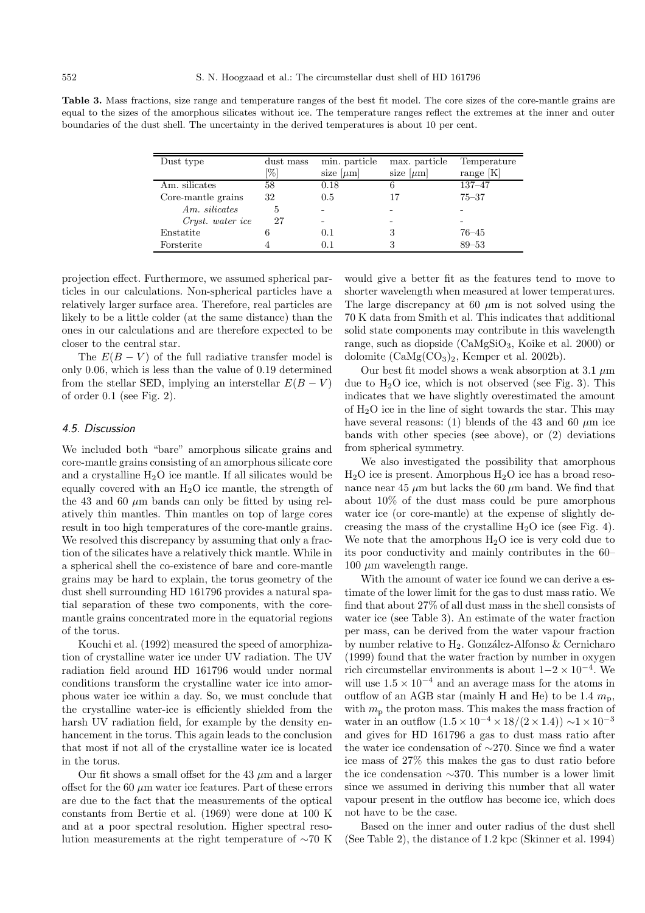**Table 3.** Mass fractions, size range and temperature ranges of the best fit model. The core sizes of the core-mantle grains are equal to the sizes of the amorphous silicates without ice. The temperature ranges reflect the extremes at the inner and outer boundaries of the dust shell. The uncertainty in the derived temperatures is about 10 per cent.

| Dust type          | dust mass | min. particle  | max. particle  | Temperature |
|--------------------|-----------|----------------|----------------|-------------|
|                    | [%]       | size $[\mu m]$ | size $[\mu m]$ | range $[K]$ |
| Am. silicates      | 58        | 0.18           | 6              | $137 - 47$  |
| Core-mantle grains | 32        | 0.5            |                | $75 - 37$   |
| Am. silicates      | 5         |                |                |             |
| Cryst. water ice   | 27        | -              |                |             |
| Enstatite          |           | 0.1            | 3              | $76 - 45$   |
| Forsterite         |           | 0.1            | 3              | $89 - 53$   |

projection effect. Furthermore, we assumed spherical particles in our calculations. Non-spherical particles have a relatively larger surface area. Therefore, real particles are likely to be a little colder (at the same distance) than the ones in our calculations and are therefore expected to be closer to the central star.

The  $E(B - V)$  of the full radiative transfer model is only 0.06, which is less than the value of 0.19 determined from the stellar SED, implying an interstellar  $E(B - V)$ of order 0.1 (see Fig. 2).

#### 4.5. Discussion

We included both "bare" amorphous silicate grains and core-mantle grains consisting of an amorphous silicate core and a crystalline  $H_2O$  ice mantle. If all silicates would be equally covered with an  $H_2O$  ice mantle, the strength of the 43 and 60  $\mu$ m bands can only be fitted by using relatively thin mantles. Thin mantles on top of large cores result in too high temperatures of the core-mantle grains. We resolved this discrepancy by assuming that only a fraction of the silicates have a relatively thick mantle. While in a spherical shell the co-existence of bare and core-mantle grains may be hard to explain, the torus geometry of the dust shell surrounding HD 161796 provides a natural spatial separation of these two components, with the coremantle grains concentrated more in the equatorial regions of the torus.

Kouchi et al. (1992) measured the speed of amorphization of crystalline water ice under UV radiation. The UV radiation field around HD 161796 would under normal conditions transform the crystalline water ice into amorphous water ice within a day. So, we must conclude that the crystalline water-ice is efficiently shielded from the harsh UV radiation field, for example by the density enhancement in the torus. This again leads to the conclusion that most if not all of the crystalline water ice is located in the torus.

Our fit shows a small offset for the 43  $\mu$ m and a larger offset for the 60  $\mu$ m water ice features. Part of these errors are due to the fact that the measurements of the optical constants from Bertie et al. (1969) were done at 100 K and at a poor spectral resolution. Higher spectral resolution measurements at the right temperature of ∼70 K would give a better fit as the features tend to move to shorter wavelength when measured at lower temperatures. The large discrepancy at 60  $\mu$ m is not solved using the 70 K data from Smith et al. This indicates that additional solid state components may contribute in this wavelength range, such as diopside (CaMgSiO3, Koike et al. 2000) or dolomite  $(CaMg(CO<sub>3</sub>)<sub>2</sub>$ , Kemper et al. 2002b).

Our best fit model shows a weak absorption at 3.1  $\mu$ m due to  $H<sub>2</sub>O$  ice, which is not observed (see Fig. 3). This indicates that we have slightly overestimated the amount of  $H_2O$  ice in the line of sight towards the star. This may have several reasons: (1) blends of the 43 and 60  $\mu$ m ice bands with other species (see above), or (2) deviations from spherical symmetry.

We also investigated the possibility that amorphous  $H<sub>2</sub>O$  ice is present. Amorphous  $H<sub>2</sub>O$  ice has a broad resonance near 45  $\mu$ m but lacks the 60  $\mu$ m band. We find that about 10% of the dust mass could be pure amorphous water ice (or core-mantle) at the expense of slightly decreasing the mass of the crystalline  $H_2O$  ice (see Fig. 4). We note that the amorphous  $H_2O$  ice is very cold due to its poor conductivity and mainly contributes in the 60– 100  $\mu$ m wavelength range.

With the amount of water ice found we can derive a estimate of the lower limit for the gas to dust mass ratio. We find that about 27% of all dust mass in the shell consists of water ice (see Table 3). An estimate of the water fraction per mass, can be derived from the water vapour fraction by number relative to  $H_2$ . González-Alfonso & Cernicharo (1999) found that the water fraction by number in oxygen rich circumstellar environments is about  $1-2 \times 10^{-4}$ . We will use  $1.5 \times 10^{-4}$  and an average mass for the atoms in outflow of an AGB star (mainly H and He) to be 1.4  $m_p$ , with  $m_p$  the proton mass. This makes the mass fraction of water in an outflow  $(1.5 \times 10^{-4} \times 18/(2 \times 1.4)) \sim 1 \times 10^{-3}$ and gives for HD 161796 a gas to dust mass ratio after the water ice condensation of ∼270. Since we find a water ice mass of 27% this makes the gas to dust ratio before the ice condensation ∼370. This number is a lower limit since we assumed in deriving this number that all water vapour present in the outflow has become ice, which does not have to be the case.

Based on the inner and outer radius of the dust shell (See Table 2), the distance of 1.2 kpc (Skinner et al. 1994)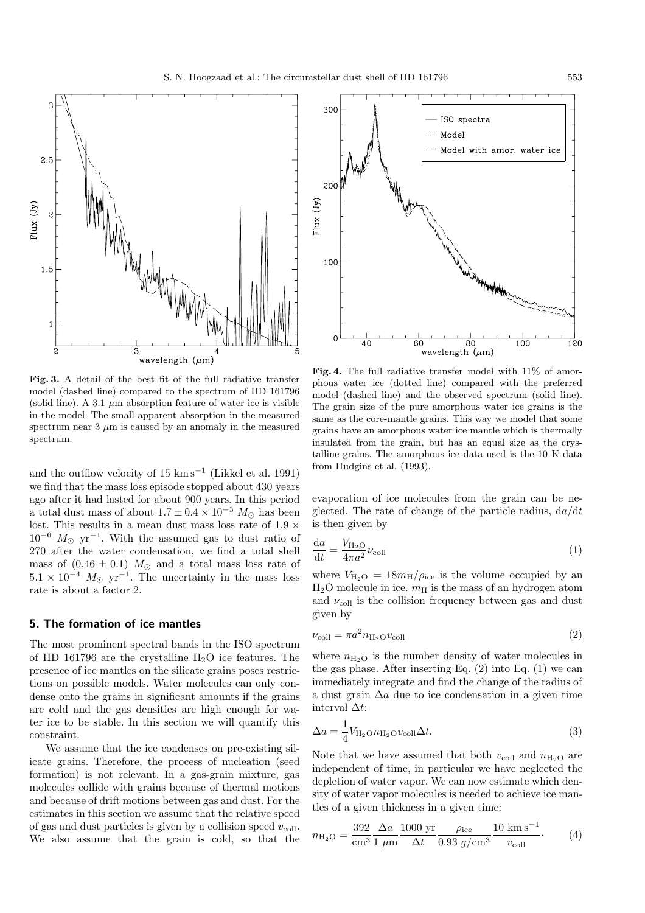

ŗ.

 $2.5$ 

 $1.5$ 

 $Tux(Jy)$ 

**Fig. 3.** A detail of the best fit of the full radiative transfer model (dashed line) compared to the spectrum of HD 161796 (solid line). A 3.1  $\mu$ m absorption feature of water ice is visible in the model. The small apparent absorption in the measured spectrum near  $3 \mu m$  is caused by an anomaly in the measured spectrum.

wavelength  $(\mu m)$ 

Я

and the outflow velocity of 15 km s<sup>-1</sup> (Likkel et al. 1991) we find that the mass loss episode stopped about 430 years ago after it had lasted for about 900 years. In this period a total dust mass of about  $1.7 \pm 0.4 \times 10^{-3}$   $M_{\odot}$  has been lost. This results in a mean dust mass loss rate of 1.9  $\times$  $10^{-6}$   $M_{\odot}$  yr<sup>-1</sup>. With the assumed gas to dust ratio of 270 after the water condensation, we find a total shell mass of  $(0.46 \pm 0.1)$   $M_{\odot}$  and a total mass loss rate of  $5.1 \times 10^{-4}$   $M_{\odot}$  yr<sup>-1</sup>. The uncertainty in the mass loss rate is about a factor 2.

## **5. The formation of ice mantles**

The most prominent spectral bands in the ISO spectrum of HD 161796 are the crystalline  $H_2O$  ice features. The presence of ice mantles on the silicate grains poses restrictions on possible models. Water molecules can only condense onto the grains in significant amounts if the grains are cold and the gas densities are high enough for water ice to be stable. In this section we will quantify this constraint.

We assume that the ice condenses on pre-existing silicate grains. Therefore, the process of nucleation (seed formation) is not relevant. In a gas-grain mixture, gas molecules collide with grains because of thermal motions and because of drift motions between gas and dust. For the estimates in this section we assume that the relative speed of gas and dust particles is given by a collision speed  $v_{\text{coll}}$ . We also assume that the grain is cold, so that the



**Fig. 4.** The full radiative transfer model with 11% of amorphous water ice (dotted line) compared with the preferred model (dashed line) and the observed spectrum (solid line). The grain size of the pure amorphous water ice grains is the same as the core-mantle grains. This way we model that some grains have an amorphous water ice mantle which is thermally insulated from the grain, but has an equal size as the crystalline grains. The amorphous ice data used is the 10 K data from Hudgins et al. (1993).

evaporation of ice molecules from the grain can be neglected. The rate of change of the particle radius,  $da/dt$ is then given by

$$
\frac{\mathrm{d}a}{\mathrm{d}t} = \frac{V_{\mathrm{H}_2\mathrm{O}}}{4\pi a^2} \nu_{\mathrm{coll}} \tag{1}
$$

where  $V_{\text{H}_2\text{O}} = 18m_{\text{H}}/\rho_{\text{ice}}$  is the volume occupied by an  $H<sub>2</sub>O$  molecule in ice.  $m<sub>H</sub>$  is the mass of an hydrogen atom and  $\nu_{\text{coll}}$  is the collision frequency between gas and dust given by

$$
\nu_{\text{coll}} = \pi a^2 n_{\text{H}_2\text{O}} v_{\text{coll}} \tag{2}
$$

where  $n_{\text{H}_2\text{O}}$  is the number density of water molecules in the gas phase. After inserting Eq.  $(2)$  into Eq.  $(1)$  we can immediately integrate and find the change of the radius of a dust grain  $\Delta a$  due to ice condensation in a given time interval  $\Delta t$ :

$$
\Delta a = \frac{1}{4} V_{\text{H}_2\text{O}} n_{\text{H}_2\text{O}} v_{\text{coll}} \Delta t. \tag{3}
$$

Note that we have assumed that both  $v_{\text{coll}}$  and  $n_{\text{H}_2O}$  are independent of time, in particular we have neglected the depletion of water vapor. We can now estimate which density of water vapor molecules is needed to achieve ice mantles of a given thickness in a given time:

$$
n_{\text{H}_2\text{O}} = \frac{392}{\text{cm}^3} \frac{\Delta a}{1 \mu \text{m}} \frac{1000 \text{ yr}}{\Delta t} \frac{\rho_{\text{ice}}}{0.93 \text{ g/cm}^3} \frac{10 \text{ km s}^{-1}}{v_{\text{coll}}}.
$$
 (4)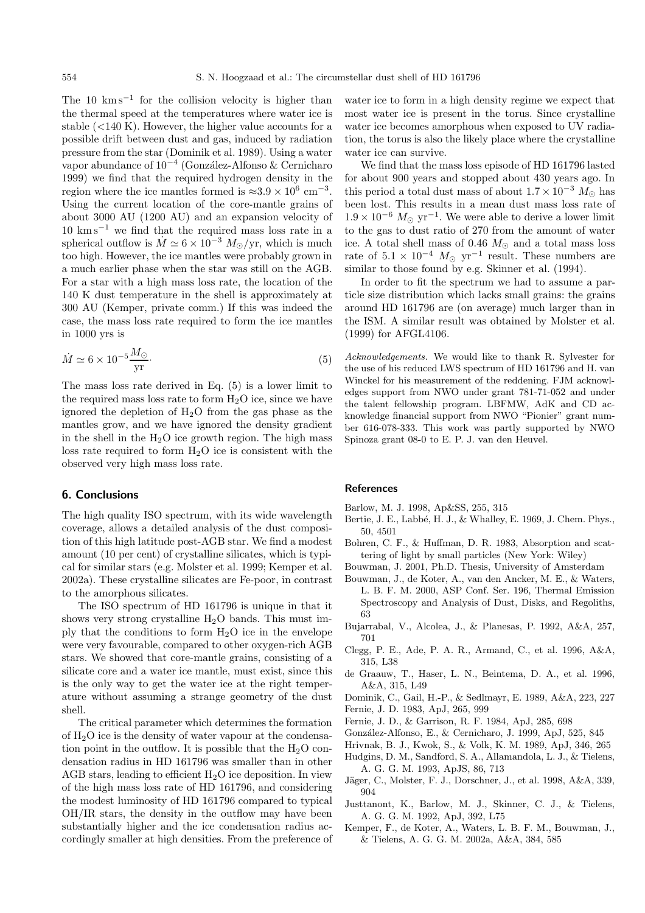The 10  $\mathrm{km s}^{-1}$  for the collision velocity is higher than the thermal speed at the temperatures where water ice is stable  $(<140 K)$ . However, the higher value accounts for a possible drift between dust and gas, induced by radiation pressure from the star (Dominik et al. 1989). Using a water vapor abundance of 10<sup>−4</sup> (González-Alfonso & Cernicharo 1999) we find that the required hydrogen density in the region where the ice mantles formed is  $\approx 3.9 \times 10^6$  cm<sup>-3</sup>. Using the current location of the core-mantle grains of about 3000 AU (1200 AU) and an expansion velocity of  $10 \text{ km s}^{-1}$  we find that the required mass loss rate in a spherical outflow is  $\dot{M} \simeq 6 \times 10^{-3} M_{\odot}/\text{yr}$ , which is much too high. However, the ice mantles were probably grown in a much earlier phase when the star was still on the AGB. For a star with a high mass loss rate, the location of the 140 K dust temperature in the shell is approximately at 300 AU (Kemper, private comm.) If this was indeed the case, the mass loss rate required to form the ice mantles in 1000 yrs is

$$
\dot{M} \simeq 6 \times 10^{-5} \frac{M_{\odot}}{\text{yr}}.\tag{5}
$$

The mass loss rate derived in Eq. (5) is a lower limit to the required mass loss rate to form  $H_2O$  ice, since we have ignored the depletion of  $H_2O$  from the gas phase as the mantles grow, and we have ignored the density gradient in the shell in the  $H_2O$  ice growth region. The high mass loss rate required to form  $H_2O$  ice is consistent with the observed very high mass loss rate.

## **6. Conclusions**

The high quality ISO spectrum, with its wide wavelength coverage, allows a detailed analysis of the dust composition of this high latitude post-AGB star. We find a modest amount (10 per cent) of crystalline silicates, which is typical for similar stars (e.g. Molster et al. 1999; Kemper et al. 2002a). These crystalline silicates are Fe-poor, in contrast to the amorphous silicates.

The ISO spectrum of HD 161796 is unique in that it shows very strong crystalline  $H_2O$  bands. This must imply that the conditions to form  $H_2O$  ice in the envelope were very favourable, compared to other oxygen-rich AGB stars. We showed that core-mantle grains, consisting of a silicate core and a water ice mantle, must exist, since this is the only way to get the water ice at the right temperature without assuming a strange geometry of the dust shell.

The critical parameter which determines the formation of  $H_2O$  ice is the density of water vapour at the condensation point in the outflow. It is possible that the  $H_2O$  condensation radius in HD 161796 was smaller than in other AGB stars, leading to efficient  $H_2O$  ice deposition. In view of the high mass loss rate of HD 161796, and considering the modest luminosity of HD 161796 compared to typical OH/IR stars, the density in the outflow may have been substantially higher and the ice condensation radius accordingly smaller at high densities. From the preference of water ice to form in a high density regime we expect that most water ice is present in the torus. Since crystalline water ice becomes amorphous when exposed to UV radiation, the torus is also the likely place where the crystalline water ice can survive.

We find that the mass loss episode of HD 161796 lasted for about 900 years and stopped about 430 years ago. In this period a total dust mass of about  $1.7 \times 10^{-3}$  M<sub>o</sub> has been lost. This results in a mean dust mass loss rate of  $1.9 \times 10^{-6}$   $M_{\odot}$  yr<sup>-1</sup>. We were able to derive a lower limit to the gas to dust ratio of 270 from the amount of water ice. A total shell mass of 0.46  $M_{\odot}$  and a total mass loss rate of  $5.1 \times 10^{-4}$   $M_{\odot}$  yr<sup>-1</sup> result. These numbers are similar to those found by e.g. Skinner et al. (1994).

In order to fit the spectrum we had to assume a particle size distribution which lacks small grains: the grains around HD 161796 are (on average) much larger than in the ISM. A similar result was obtained by Molster et al. (1999) for AFGL4106.

Acknowledgements. We would like to thank R. Sylvester for the use of his reduced LWS spectrum of HD 161796 and H. van Winckel for his measurement of the reddening. FJM acknowledges support from NWO under grant 781-71-052 and under the talent fellowship program. LBFMW, AdK and CD acknowledge financial support from NWO "Pionier" grant number 616-078-333. This work was partly supported by NWO Spinoza grant 08-0 to E. P. J. van den Heuvel.

#### **References**

Barlow, M. J. 1998, Ap&SS, 255, 315

- Bertie, J. E., Labb´e, H. J., & Whalley, E. 1969, J. Chem. Phys., 50, 4501
- Bohren, C. F., & Huffman, D. R. 1983, Absorption and scattering of light by small particles (New York: Wiley)
- Bouwman, J. 2001, Ph.D. Thesis, University of Amsterdam
- Bouwman, J., de Koter, A., van den Ancker, M. E., & Waters, L. B. F. M. 2000, ASP Conf. Ser. 196, Thermal Emission Spectroscopy and Analysis of Dust, Disks, and Regoliths, 63
- Bujarrabal, V., Alcolea, J., & Planesas, P. 1992, A&A, 257, 701
- Clegg, P. E., Ade, P. A. R., Armand, C., et al. 1996, A&A, 315, L38
- de Graauw, T., Haser, L. N., Beintema, D. A., et al. 1996, A&A, 315, L49
- Dominik, C., Gail, H.-P., & Sedlmayr, E. 1989, A&A, 223, 227
- Fernie, J. D. 1983, ApJ, 265, 999
- Fernie, J. D., & Garrison, R. F. 1984, ApJ, 285, 698
- Gonz´alez-Alfonso, E., & Cernicharo, J. 1999, ApJ, 525, 845
- Hrivnak, B. J., Kwok, S., & Volk, K. M. 1989, ApJ, 346, 265
- Hudgins, D. M., Sandford, S. A., Allamandola, L. J., & Tielens, A. G. G. M. 1993, ApJS, 86, 713
- Jäger, C., Molster, F. J., Dorschner, J., et al. 1998, A&A, 339, 904
- Justtanont, K., Barlow, M. J., Skinner, C. J., & Tielens, A. G. G. M. 1992, ApJ, 392, L75
- Kemper, F., de Koter, A., Waters, L. B. F. M., Bouwman, J., & Tielens, A. G. G. M. 2002a, A&A, 384, 585